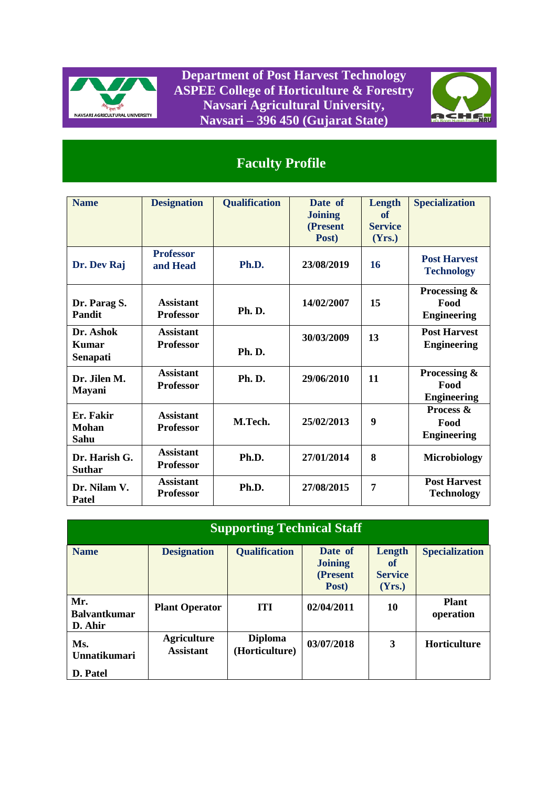

**Department of Post Harvest Technology ASPEE College of Horticulture & Forestry Navsari Agricultural University, Navsari – 396 450 (Gujarat State)**



## **Faculty Profile**

| <b>Name</b>                       | <b>Designation</b>                   | <b>Qualification</b> | Date of<br><b>Joining</b><br>(Present<br>Post) | Length<br>of<br><b>Service</b><br>(Yrs.) | <b>Specialization</b>                      |
|-----------------------------------|--------------------------------------|----------------------|------------------------------------------------|------------------------------------------|--------------------------------------------|
| Dr. Dev Raj                       | <b>Professor</b><br>and Head         | Ph.D.                | 23/08/2019                                     | 16                                       | <b>Post Harvest</b><br><b>Technology</b>   |
| Dr. Parag S.<br><b>Pandit</b>     | <b>Assistant</b><br><b>Professor</b> | Ph.D.                | 14/02/2007                                     | 15                                       | Processing &<br>Food<br><b>Engineering</b> |
| Dr. Ashok<br>Kumar<br>Senapati    | <b>Assistant</b><br><b>Professor</b> | Ph.D.                | 30/03/2009                                     | 13                                       | <b>Post Harvest</b><br><b>Engineering</b>  |
| Dr. Jilen M.<br><b>Mayani</b>     | <b>Assistant</b><br><b>Professor</b> | <b>Ph. D.</b>        | 29/06/2010                                     | 11                                       | Processing &<br>Food<br><b>Engineering</b> |
| Er. Fakir<br><b>Mohan</b><br>Sahu | <b>Assistant</b><br><b>Professor</b> | M.Tech.              | 25/02/2013                                     | 9                                        | Process &<br>Food<br><b>Engineering</b>    |
| Dr. Harish G.<br><b>Suthar</b>    | <b>Assistant</b><br><b>Professor</b> | Ph.D.                | 27/01/2014                                     | 8                                        | <b>Microbiology</b>                        |
| Dr. Nilam V.<br>Patel             | <b>Assistant</b><br><b>Professor</b> | Ph.D.                | 27/08/2015                                     | 7                                        | <b>Post Harvest</b><br><b>Technology</b>   |

| <b>Supporting Technical Staff</b>     |                                        |                                  |                                                |                                          |                           |  |  |  |  |  |  |  |
|---------------------------------------|----------------------------------------|----------------------------------|------------------------------------------------|------------------------------------------|---------------------------|--|--|--|--|--|--|--|
| <b>Name</b>                           | <b>Designation</b>                     | <b>Qualification</b>             | Date of<br><b>Joining</b><br>(Present<br>Post) | Length<br>of<br><b>Service</b><br>(Yrs.) | <b>Specialization</b>     |  |  |  |  |  |  |  |
| Mr.<br><b>Balvantkumar</b><br>D. Ahir | <b>Plant Operator</b>                  | <b>TTI</b>                       | 02/04/2011                                     | 10                                       | <b>Plant</b><br>operation |  |  |  |  |  |  |  |
| Ms.<br>Unnatikumari                   | <b>Agriculture</b><br><b>Assistant</b> | <b>Diploma</b><br>(Horticulture) | 03/07/2018                                     | 3                                        | <b>Horticulture</b>       |  |  |  |  |  |  |  |
| D. Patel                              |                                        |                                  |                                                |                                          |                           |  |  |  |  |  |  |  |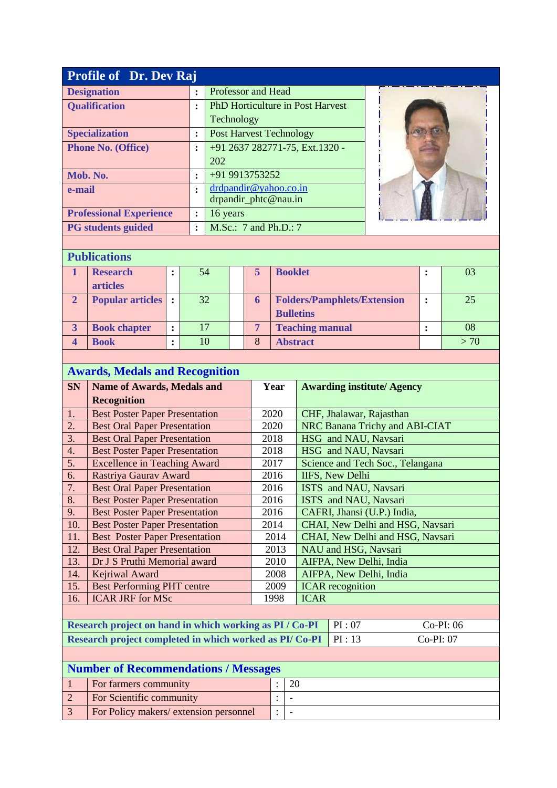| <b>Profile of Dr. Dev Raj</b>  |                |                                         |  |  |  |  |  |  |  |  |
|--------------------------------|----------------|-----------------------------------------|--|--|--|--|--|--|--|--|
| <b>Designation</b>             |                | Professor and Head                      |  |  |  |  |  |  |  |  |
| <b>Qualification</b>           |                | <b>PhD Horticulture in Post Harvest</b> |  |  |  |  |  |  |  |  |
|                                |                | Technology                              |  |  |  |  |  |  |  |  |
| <b>Specialization</b>          | $\ddot{\cdot}$ | <b>Post Harvest Technology</b>          |  |  |  |  |  |  |  |  |
| <b>Phone No. (Office)</b>      |                | +91 2637 282771-75, Ext.1320 -          |  |  |  |  |  |  |  |  |
|                                |                | 202                                     |  |  |  |  |  |  |  |  |
| Mob. No.                       | $\ddot{\cdot}$ | +91 9913753252                          |  |  |  |  |  |  |  |  |
| e-mail                         |                | drdpandir@yahoo.co.in                   |  |  |  |  |  |  |  |  |
|                                |                | drpandir_phtc@nau.in                    |  |  |  |  |  |  |  |  |
| <b>Professional Experience</b> | :              | 16 years                                |  |  |  |  |  |  |  |  |
| <b>PG</b> students guided      | $\ddot{\cdot}$ | M.Sc.: 7 and Ph.D.: 7                   |  |  |  |  |  |  |  |  |

| <b>Publications</b> |  |  |
|---------------------|--|--|
|                     |  |  |

| 1 upncambio                        |  |    |  |   |                                                        |  |     |  |  |
|------------------------------------|--|----|--|---|--------------------------------------------------------|--|-----|--|--|
| <b>Research</b><br><b>articles</b> |  | 54 |  | 5 | <b>Booklet</b>                                         |  | 03  |  |  |
| <b>Popular articles</b> :          |  | 32 |  | 6 | <b>Folders/Pamphlets/Extension</b><br><b>Bulletins</b> |  | 25  |  |  |
| <b>Book chapter</b>                |  | 17 |  |   | <b>Teaching manual</b>                                 |  | 08  |  |  |
| <b>Book</b>                        |  | 10 |  | 8 | <b>Abstract</b>                                        |  | >70 |  |  |

|                  | <b>Awards, Medals and Recognition</b>                   |      |                                  |                                   |           |  |  |  |  |
|------------------|---------------------------------------------------------|------|----------------------------------|-----------------------------------|-----------|--|--|--|--|
| <b>SN</b>        | <b>Name of Awards, Medals and</b>                       | Year |                                  | <b>Awarding institute/ Agency</b> |           |  |  |  |  |
|                  | <b>Recognition</b>                                      |      |                                  |                                   |           |  |  |  |  |
| 1.               | <b>Best Poster Paper Presentation</b>                   | 2020 |                                  | CHF, Jhalawar, Rajasthan          |           |  |  |  |  |
| 2.               | <b>Best Oral Paper Presentation</b>                     | 2020 |                                  | NRC Banana Trichy and ABI-CIAT    |           |  |  |  |  |
| $\overline{3}$ . | <b>Best Oral Paper Presentation</b>                     | 2018 |                                  | HSG and NAU, Navsari              |           |  |  |  |  |
| 4.               | <b>Best Poster Paper Presentation</b>                   | 2018 |                                  | HSG and NAU, Navsari              |           |  |  |  |  |
| 5.               | <b>Excellence in Teaching Award</b>                     | 2017 |                                  | Science and Tech Soc., Telangana  |           |  |  |  |  |
| 6.               | Rastriya Gaurav Award                                   | 2016 |                                  | <b>IIFS, New Delhi</b>            |           |  |  |  |  |
| 7.               | <b>Best Oral Paper Presentation</b>                     | 2016 | ISTS and NAU, Navsari            |                                   |           |  |  |  |  |
| 8.               | <b>Best Poster Paper Presentation</b>                   | 2016 |                                  | ISTS and NAU, Navsari             |           |  |  |  |  |
| 9.               | <b>Best Poster Paper Presentation</b>                   | 2016 |                                  | CAFRI, Jhansi (U.P.) India,       |           |  |  |  |  |
| 10.              | <b>Best Poster Paper Presentation</b>                   | 2014 | CHAI, New Delhi and HSG, Navsari |                                   |           |  |  |  |  |
| 11.              | <b>Best Poster Paper Presentation</b>                   | 2014 | CHAI, New Delhi and HSG, Navsari |                                   |           |  |  |  |  |
| 12.              | <b>Best Oral Paper Presentation</b>                     | 2013 |                                  | NAU and HSG, Navsari              |           |  |  |  |  |
| 13.              | Dr J S Pruthi Memorial award                            | 2010 |                                  | AIFPA, New Delhi, India           |           |  |  |  |  |
| 14.              | Kejriwal Award                                          | 2008 |                                  | AIFPA, New Delhi, India           |           |  |  |  |  |
| 15.              | <b>Best Performing PHT centre</b>                       | 2009 |                                  | <b>ICAR</b> recognition           |           |  |  |  |  |
| 16.              | <b>ICAR JRF</b> for MSc                                 | 1998 | <b>ICAR</b>                      |                                   |           |  |  |  |  |
|                  |                                                         |      |                                  |                                   |           |  |  |  |  |
|                  | Research project on hand in which working as PI / Co-PI |      |                                  | PI:07                             | Co-PI: 06 |  |  |  |  |
|                  | Research project completed in which worked as PI/Co-PI  |      |                                  | PI:13                             | Co-PI: 07 |  |  |  |  |
|                  |                                                         |      |                                  |                                   |           |  |  |  |  |

| <b>Number of Recommendations / Messages</b> |  |    |  |  |  |  |  |  |  |  |
|---------------------------------------------|--|----|--|--|--|--|--|--|--|--|
| For farmers community                       |  | 20 |  |  |  |  |  |  |  |  |
| For Scientific community                    |  |    |  |  |  |  |  |  |  |  |
| For Policy makers/ extension personnel      |  |    |  |  |  |  |  |  |  |  |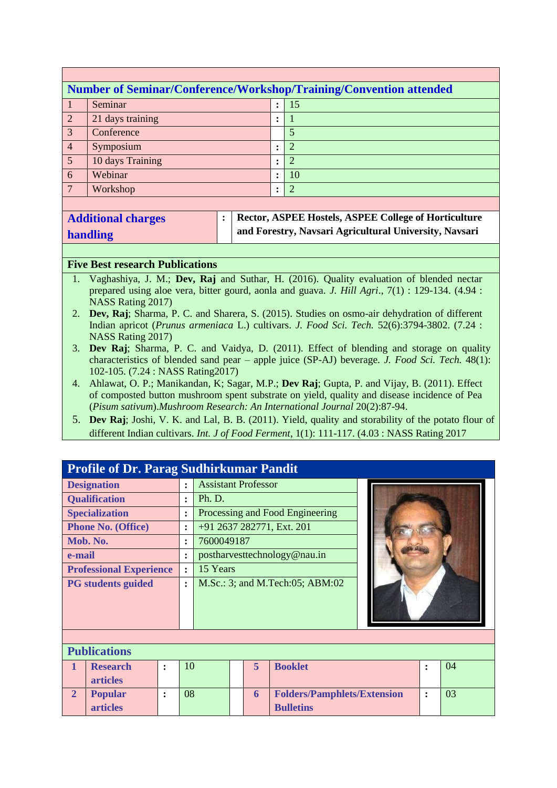|                 | Number of Seminar/Conference/Workshop/Training/Convention attended |  |                |  |  |  |  |  |  |  |  |
|-----------------|--------------------------------------------------------------------|--|----------------|--|--|--|--|--|--|--|--|
|                 | Seminar                                                            |  | -15            |  |  |  |  |  |  |  |  |
| $\sqrt{2}$      | 21 days training                                                   |  |                |  |  |  |  |  |  |  |  |
| $\overline{3}$  | Conference                                                         |  |                |  |  |  |  |  |  |  |  |
| $\overline{4}$  | Symposium                                                          |  | $\overline{2}$ |  |  |  |  |  |  |  |  |
| $5\overline{5}$ | 10 days Training                                                   |  | 2              |  |  |  |  |  |  |  |  |
| $6\overline{6}$ | Webinar                                                            |  | 10             |  |  |  |  |  |  |  |  |
| $\mathbf{7}$    | Workshop                                                           |  | 2              |  |  |  |  |  |  |  |  |
|                 |                                                                    |  |                |  |  |  |  |  |  |  |  |

| <b>Additional charges</b> |  |
|---------------------------|--|
| handling                  |  |

**articles**

**: Rector, ASPEE Hostels, ASPEE College of Horticulture and Forestry, Navsari Agricultural University, Navsari**

#### **Five Best research Publications**

- 1. Vaghashiya, J. M.; **Dev, Raj** and Suthar, H. (2016). Quality evaluation of blended nectar prepared using aloe vera, bitter gourd, aonla and guava. *J. Hill Agri*., 7(1) : 129-134. (4.94 : NASS Rating 2017)
- 2. **Dev, Raj**; Sharma, P. C. and Sharera, S. (2015). Studies on osmo-air dehydration of different Indian apricot (*Prunus armeniaca* L.) cultivars. *J. Food Sci. Tech.* 52(6):3794-3802. (7.24 : NASS Rating 2017)
- 3. **Dev Raj**; Sharma, P. C. and Vaidya, D. (2011). Effect of blending and storage on quality characteristics of blended sand pear – apple juice (SP-AJ) beverage. *J. Food Sci. Tech.* 48(1): 102-105. (7.24 : NASS Rating2017)
- 4. Ahlawat, O. P.; Manikandan, K; Sagar, M.P.; **Dev Raj**; Gupta, P. and Vijay, B. (2011). Effect of composted button mushroom spent substrate on yield, quality and disease incidence of Pea (*Pisum sativum*).*Mushroom Research: An International Journal* 20(2):87-94.
- 5. **Dev Raj**; Joshi, V. K. and Lal, B. B. (2011). Yield, quality and storability of the potato flour of different Indian cultivars. *Int. J of Food Ferment*, 1(1): 111-117. (4.03 : NASS Rating 2017

|                                | <b>Profile of Dr. Parag Sudhirkumar Pandit</b> |                |                      |                                 |                                               |  |                              |  |  |    |  |  |
|--------------------------------|------------------------------------------------|----------------|----------------------|---------------------------------|-----------------------------------------------|--|------------------------------|--|--|----|--|--|
|                                | <b>Designation</b>                             |                | $\ddot{\phantom{a}}$ | <b>Assistant Professor</b>      |                                               |  |                              |  |  |    |  |  |
|                                | <b>Qualification</b>                           |                | $\ddot{\phantom{a}}$ | Ph. D.                          |                                               |  |                              |  |  |    |  |  |
|                                | <b>Specialization</b>                          | $\ddot{\cdot}$ |                      | Processing and Food Engineering |                                               |  |                              |  |  |    |  |  |
|                                | <b>Phone No. (Office)</b>                      |                | $\ddot{\cdot}$       |                                 | +91 2637 282771, Ext. 201                     |  |                              |  |  |    |  |  |
|                                | Mob. No.                                       |                | $\ddot{\cdot}$       | 7600049187                      |                                               |  |                              |  |  |    |  |  |
| e-mail                         |                                                |                |                      |                                 |                                               |  | postharvesttechnology@nau.in |  |  |    |  |  |
| <b>Professional Experience</b> |                                                |                |                      | 15 Years                        |                                               |  |                              |  |  |    |  |  |
| <b>PG</b> students guided      |                                                |                | $\ddot{\cdot}$       |                                 | M.Sc.: 3; and M.Tech:05; ABM:02               |  |                              |  |  |    |  |  |
|                                |                                                |                |                      |                                 |                                               |  |                              |  |  |    |  |  |
|                                | <b>Publications</b>                            |                |                      |                                 |                                               |  |                              |  |  |    |  |  |
|                                | <b>Research</b><br><b>articles</b>             | $\bullet$      | 10                   | 5<br><b>Booklet</b><br>٠        |                                               |  |                              |  |  | 04 |  |  |
| $\overline{2}$                 | <b>Popular</b>                                 |                | 08                   |                                 | 03<br><b>Folders/Pamphlets/Extension</b><br>6 |  |                              |  |  |    |  |  |

**Bulletins**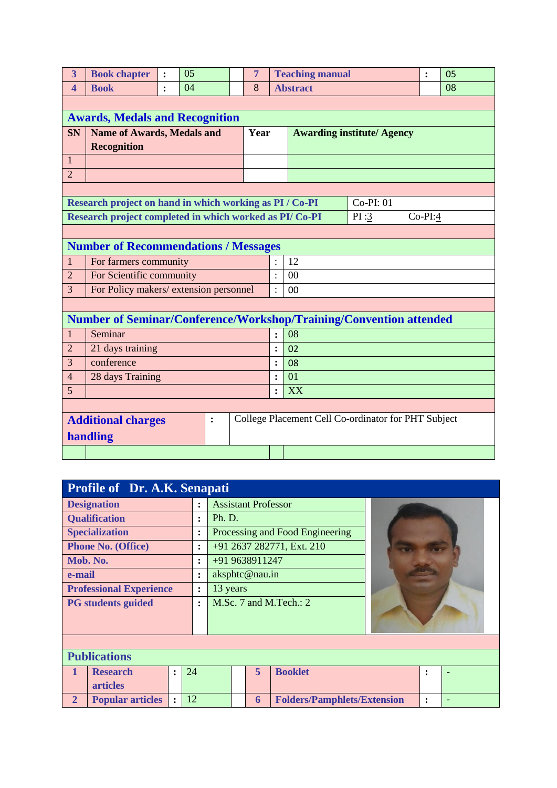| $\overline{3}$          | <b>Book chapter</b>                                                    | $\ddot{\cdot}$ | 0 <sub>5</sub> |                |  | $\overline{7}$ |                                   | <b>Teaching manual</b>                              |      | $\ddot{\cdot}$ |  | 05 |  |  |
|-------------------------|------------------------------------------------------------------------|----------------|----------------|----------------|--|----------------|-----------------------------------|-----------------------------------------------------|------|----------------|--|----|--|--|
| $\overline{\mathbf{4}}$ | <b>Book</b>                                                            | $\ddot{\cdot}$ | 04             |                |  | 8              |                                   | <b>Abstract</b>                                     |      | 08             |  |    |  |  |
|                         |                                                                        |                |                |                |  |                |                                   |                                                     |      |                |  |    |  |  |
|                         | <b>Awards, Medals and Recognition</b>                                  |                |                |                |  |                |                                   |                                                     |      |                |  |    |  |  |
| <b>SN</b>               | <b>Name of Awards, Medals and</b>                                      |                |                |                |  | Year           | <b>Awarding institute/ Agency</b> |                                                     |      |                |  |    |  |  |
|                         | <b>Recognition</b>                                                     |                |                |                |  |                |                                   |                                                     |      |                |  |    |  |  |
| $\mathbf{1}$            |                                                                        |                |                |                |  |                |                                   |                                                     |      |                |  |    |  |  |
| $\overline{2}$          |                                                                        |                |                |                |  |                |                                   |                                                     |      |                |  |    |  |  |
|                         |                                                                        |                |                |                |  |                |                                   |                                                     |      |                |  |    |  |  |
|                         | Research project on hand in which working as PI / Co-PI<br>$Co-PI: 01$ |                |                |                |  |                |                                   |                                                     |      |                |  |    |  |  |
|                         | Research project completed in which worked as PI/Co-PI                 |                |                |                |  |                |                                   |                                                     | PI:3 | $Co-PI:4$      |  |    |  |  |
|                         |                                                                        |                |                |                |  |                |                                   |                                                     |      |                |  |    |  |  |
|                         | <b>Number of Recommendations / Messages</b>                            |                |                |                |  |                |                                   |                                                     |      |                |  |    |  |  |
| 1                       | For farmers community                                                  |                |                |                |  |                |                                   | 12                                                  |      |                |  |    |  |  |
| $\overline{2}$          | For Scientific community                                               |                |                |                |  |                |                                   | 00                                                  |      |                |  |    |  |  |
| 3                       | For Policy makers/extension personnel                                  |                |                |                |  |                | $\bullet$                         | 00                                                  |      |                |  |    |  |  |
|                         |                                                                        |                |                |                |  |                |                                   |                                                     |      |                |  |    |  |  |
|                         | Number of Seminar/Conference/Workshop/Training/Convention attended     |                |                |                |  |                |                                   |                                                     |      |                |  |    |  |  |
| $\mathbf{1}$            | Seminar                                                                |                |                |                |  |                | $\ddot{\cdot}$                    | 08                                                  |      |                |  |    |  |  |
| $\overline{2}$          | 21 days training                                                       |                |                |                |  |                | $\ddot{\cdot}$                    | 02                                                  |      |                |  |    |  |  |
| 3                       | conference                                                             |                |                |                |  |                | $\ddot{\cdot}$                    | 08                                                  |      |                |  |    |  |  |
| $\overline{4}$          | 28 days Training                                                       |                |                |                |  |                | :                                 | 01                                                  |      |                |  |    |  |  |
| 5                       |                                                                        |                |                |                |  |                |                                   | XX                                                  |      |                |  |    |  |  |
|                         |                                                                        |                |                |                |  |                |                                   |                                                     |      |                |  |    |  |  |
|                         | <b>Additional charges</b>                                              |                |                | $\ddot{\cdot}$ |  |                |                                   | College Placement Cell Co-ordinator for PHT Subject |      |                |  |    |  |  |
|                         | handling                                                               |                |                |                |  |                |                                   |                                                     |      |                |  |    |  |  |
|                         |                                                                        |                |                |                |  |                |                                   |                                                     |      |                |  |    |  |  |

|                                  | <b>Profile of Dr. A.K. Senapati</b> |                      |                        |        |                            |                            |                                    |  |                |  |  |  |  |
|----------------------------------|-------------------------------------|----------------------|------------------------|--------|----------------------------|----------------------------|------------------------------------|--|----------------|--|--|--|--|
|                                  | <b>Designation</b>                  |                      | $\ddot{\cdot}$         |        |                            | <b>Assistant Professor</b> |                                    |  |                |  |  |  |  |
|                                  | <b>Qualification</b>                |                      | :                      | Ph. D. |                            |                            |                                    |  |                |  |  |  |  |
|                                  | <b>Specialization</b>               |                      | $\bullet$<br>$\bullet$ |        |                            |                            | Processing and Food Engineering    |  |                |  |  |  |  |
|                                  | <b>Phone No. (Office)</b>           |                      | $\ddot{\cdot}$         |        |                            |                            | +91 2637 282771, Ext. 210          |  |                |  |  |  |  |
|                                  | Mob. No.                            |                      | $\ddot{\cdot}$         |        |                            | +91 9638911247             |                                    |  |                |  |  |  |  |
| e-mail<br>$\bullet$<br>$\bullet$ |                                     |                      |                        |        | aksphtc@nau.in             |                            |                                    |  |                |  |  |  |  |
| <b>Professional Experience</b>   |                                     |                      | $\ddot{\cdot}$         |        | 13 years                   |                            |                                    |  |                |  |  |  |  |
|                                  | <b>PG</b> students guided           |                      | $\ddot{\cdot}$         |        | M.Sc. $7$ and M.Tech.: $2$ |                            |                                    |  |                |  |  |  |  |
|                                  |                                     |                      |                        |        |                            |                            |                                    |  |                |  |  |  |  |
|                                  |                                     |                      |                        |        |                            |                            |                                    |  |                |  |  |  |  |
|                                  |                                     |                      |                        |        |                            |                            |                                    |  |                |  |  |  |  |
|                                  | <b>Publications</b>                 |                      |                        |        |                            |                            |                                    |  |                |  |  |  |  |
| $\mathbf{1}$                     | <b>Research</b>                     | $\ddot{\cdot}$       | 24                     |        |                            | 5                          | <b>Booklet</b>                     |  | ٠<br>$\bullet$ |  |  |  |  |
|                                  | <b>articles</b>                     |                      |                        |        |                            |                            |                                    |  |                |  |  |  |  |
| $\overline{2}$                   | <b>Popular articles</b>             | $\ddot{\phantom{a}}$ | 12                     |        |                            | 6                          | <b>Folders/Pamphlets/Extension</b> |  | $\ddot{\cdot}$ |  |  |  |  |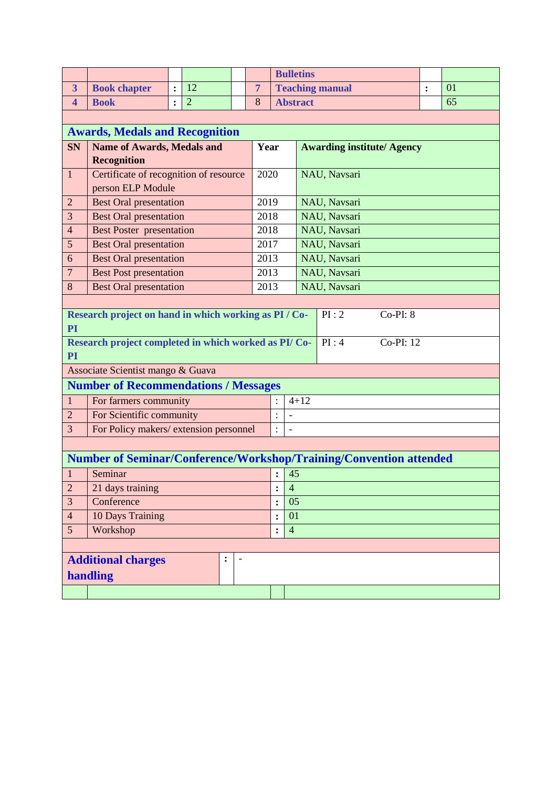|                                                            |                                                                             |                      |                |  |                |                        | <b>Bulletins</b>     |              |                                   |   |    |  |
|------------------------------------------------------------|-----------------------------------------------------------------------------|----------------------|----------------|--|----------------|------------------------|----------------------|--------------|-----------------------------------|---|----|--|
| $\overline{\mathbf{3}}$                                    | <b>Book chapter</b>                                                         | :                    | 12             |  | $\overline{7}$ | <b>Teaching manual</b> |                      |              |                                   | : | 01 |  |
| $\overline{\mathbf{4}}$                                    | <b>Book</b>                                                                 | $\ddot{\phantom{a}}$ | $\overline{2}$ |  | 8              | <b>Abstract</b>        |                      |              |                                   |   | 65 |  |
|                                                            |                                                                             |                      |                |  |                |                        |                      |              |                                   |   |    |  |
|                                                            | <b>Awards, Medals and Recognition</b>                                       |                      |                |  |                |                        |                      |              |                                   |   |    |  |
| <b>SN</b>                                                  | <b>Name of Awards, Medals and</b>                                           |                      |                |  | Year           |                        |                      |              | <b>Awarding institute/ Agency</b> |   |    |  |
|                                                            | <b>Recognition</b>                                                          |                      |                |  |                |                        |                      |              |                                   |   |    |  |
| $\mathbf{1}$                                               | Certificate of recognition of resource                                      |                      |                |  | 2020           |                        |                      | NAU, Navsari |                                   |   |    |  |
|                                                            | person ELP Module                                                           |                      |                |  |                |                        |                      |              |                                   |   |    |  |
| $\overline{2}$                                             | <b>Best Oral presentation</b>                                               |                      |                |  | 2019           |                        |                      | NAU, Navsari |                                   |   |    |  |
| 3                                                          | <b>Best Oral presentation</b>                                               |                      |                |  | 2018           |                        |                      | NAU, Navsari |                                   |   |    |  |
| $\overline{4}$                                             | <b>Best Poster presentation</b>                                             |                      |                |  | 2018           |                        |                      | NAU, Navsari |                                   |   |    |  |
| 5                                                          | <b>Best Oral presentation</b>                                               |                      |                |  | 2017           |                        |                      | NAU, Navsari |                                   |   |    |  |
| 6                                                          | <b>Best Oral presentation</b>                                               |                      |                |  | 2013           |                        |                      | NAU, Navsari |                                   |   |    |  |
| $\overline{7}$                                             | <b>Best Post presentation</b>                                               |                      |                |  | 2013           |                        |                      | NAU, Navsari |                                   |   |    |  |
|                                                            | <b>Best Oral presentation</b><br>8<br>2013                                  |                      |                |  |                |                        |                      | NAU, Navsari |                                   |   |    |  |
|                                                            |                                                                             |                      |                |  |                |                        |                      |              |                                   |   |    |  |
|                                                            | Research project on hand in which working as PI / Co-<br>PI:2<br>$Co-PI: 8$ |                      |                |  |                |                        |                      |              |                                   |   |    |  |
| <b>PI</b>                                                  |                                                                             |                      |                |  |                |                        |                      |              |                                   |   |    |  |
| PI                                                         | Research project completed in which worked as PI/Co-                        |                      |                |  |                |                        |                      | PI:4         | Co-PI: 12                         |   |    |  |
|                                                            | Associate Scientist mango & Guava                                           |                      |                |  |                |                        |                      |              |                                   |   |    |  |
|                                                            | <b>Number of Recommendations / Messages</b>                                 |                      |                |  |                |                        |                      |              |                                   |   |    |  |
| $\mathbf{1}$                                               | For farmers community                                                       |                      |                |  |                | $4 + 12$               |                      |              |                                   |   |    |  |
| $\overline{2}$                                             | For Scientific community                                                    |                      |                |  |                | $\vdots$               | $\frac{1}{2}$        |              |                                   |   |    |  |
| 3                                                          | For Policy makers/extension personnel                                       |                      |                |  |                | $\ddot{\cdot}$         | $\overline{a}$       |              |                                   |   |    |  |
|                                                            |                                                                             |                      |                |  |                |                        |                      |              |                                   |   |    |  |
|                                                            | Number of Seminar/Conference/Workshop/Training/Convention attended          |                      |                |  |                |                        |                      |              |                                   |   |    |  |
| $\mathbf{1}$                                               | Seminar                                                                     |                      |                |  |                |                        | 45                   |              |                                   |   |    |  |
| $\overline{c}$                                             | 21 days training                                                            |                      |                |  |                | $\ddot{\cdot}$         | $\overline{4}$       |              |                                   |   |    |  |
| 3                                                          | Conference                                                                  |                      |                |  |                |                        |                      |              |                                   |   |    |  |
| $\overline{4}$                                             | 10 Days Training                                                            |                      |                |  |                |                        | 01<br>$\ddot{\cdot}$ |              |                                   |   |    |  |
| 5<br>Workshop                                              |                                                                             |                      |                |  |                |                        | $\overline{4}$       |              |                                   |   |    |  |
|                                                            |                                                                             |                      |                |  |                |                        |                      |              |                                   |   |    |  |
| <b>Additional charges</b><br>:<br>$\overline{\phantom{a}}$ |                                                                             |                      |                |  |                |                        |                      |              |                                   |   |    |  |
|                                                            | handling                                                                    |                      |                |  |                |                        |                      |              |                                   |   |    |  |
|                                                            |                                                                             |                      |                |  |                |                        |                      |              |                                   |   |    |  |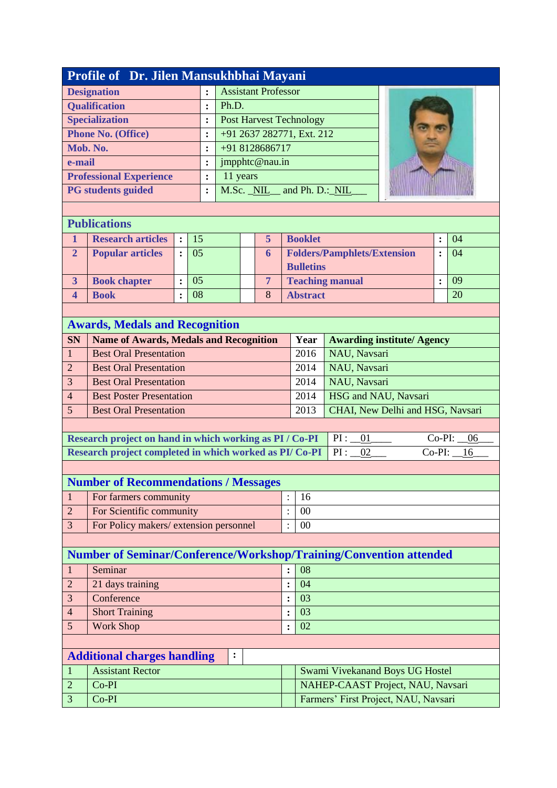|                                                             | Profile of Dr. Jilen Mansukhbhai Mayani                                   |                |    |                |                  |   |                |                |                           |                                      |  |                |                |  |
|-------------------------------------------------------------|---------------------------------------------------------------------------|----------------|----|----------------|------------------|---|----------------|----------------|---------------------------|--------------------------------------|--|----------------|----------------|--|
|                                                             | <b>Assistant Professor</b><br><b>Designation</b><br>$\ddot{\cdot}$        |                |    |                |                  |   |                |                |                           |                                      |  |                |                |  |
|                                                             | <b>Qualification</b><br>Ph.D.<br>$\ddot{\cdot}$                           |                |    |                |                  |   |                |                |                           |                                      |  |                |                |  |
|                                                             | <b>Specialization</b><br><b>Post Harvest Technology</b><br>$\ddot{\cdot}$ |                |    |                |                  |   |                |                |                           |                                      |  |                |                |  |
| +91 2637 282771, Ext. 212<br><b>Phone No. (Office)</b><br>: |                                                                           |                |    |                |                  |   |                |                |                           |                                      |  |                |                |  |
|                                                             | Mob. No.                                                                  |                |    | $\ddot{\cdot}$ |                  |   | +91 8128686717 |                |                           |                                      |  |                |                |  |
| e-mail                                                      |                                                                           |                |    | $\ddot{\cdot}$ |                  |   | jmpphtc@nau.in |                |                           |                                      |  |                |                |  |
|                                                             | <b>Professional Experience</b>                                            |                |    | $\ddot{\cdot}$ | 11 years         |   |                |                |                           |                                      |  |                |                |  |
|                                                             | <b>PG</b> students guided                                                 |                |    | :              |                  |   |                |                | M.Sc. NIL and Ph. D.: NIL |                                      |  |                |                |  |
|                                                             |                                                                           |                |    |                |                  |   |                |                |                           |                                      |  |                |                |  |
| <b>Publications</b>                                         |                                                                           |                |    |                |                  |   |                |                |                           |                                      |  |                |                |  |
| 1                                                           | <b>Research articles</b>                                                  | $\ddot{\cdot}$ | 15 |                |                  |   | 5              |                | <b>Booklet</b>            |                                      |  | $\ddot{\cdot}$ | 04             |  |
| $\overline{2}$                                              | <b>Popular articles</b>                                                   | $\ddot{\cdot}$ | 05 |                |                  |   | 6              |                |                           | <b>Folders/Pamphlets/Extension</b>   |  | $\ddot{\cdot}$ | 04             |  |
|                                                             |                                                                           |                |    |                |                  |   |                |                | <b>Bulletins</b>          |                                      |  |                |                |  |
| $\overline{\mathbf{3}}$                                     | <b>Book chapter</b>                                                       | $\ddot{\cdot}$ | 05 |                |                  |   | $\overline{7}$ |                |                           | <b>Teaching manual</b>               |  | $\ddot{\cdot}$ | 09             |  |
| $\overline{\mathbf{4}}$                                     | <b>Book</b>                                                               | $\ddot{\cdot}$ | 08 |                |                  |   | 8              |                | <b>Abstract</b>           |                                      |  |                | 20             |  |
|                                                             |                                                                           |                |    |                |                  |   |                |                |                           |                                      |  |                |                |  |
|                                                             | <b>Awards, Medals and Recognition</b>                                     |                |    |                |                  |   |                |                |                           |                                      |  |                |                |  |
| <b>SN</b>                                                   | <b>Name of Awards, Medals and Recognition</b>                             |                |    |                |                  |   |                |                | Year                      | <b>Awarding institute/ Agency</b>    |  |                |                |  |
| $\mathbf{1}$                                                | <b>Best Oral Presentation</b>                                             |                |    |                |                  |   |                |                | 2016                      | NAU, Navsari                         |  |                |                |  |
| $\overline{2}$                                              | <b>Best Oral Presentation</b>                                             |                |    |                |                  |   |                |                | 2014                      | NAU, Navsari                         |  |                |                |  |
| 3                                                           | <b>Best Oral Presentation</b>                                             |                |    |                |                  |   |                |                | 2014                      | NAU, Navsari                         |  |                |                |  |
| $\overline{4}$                                              | <b>Best Poster Presentation</b>                                           |                |    |                |                  |   |                |                | 2014                      | HSG and NAU, Navsari                 |  |                |                |  |
| 5                                                           | <b>Best Oral Presentation</b>                                             |                |    |                |                  |   |                |                | 2013                      | CHAI, New Delhi and HSG, Navsari     |  |                |                |  |
|                                                             |                                                                           |                |    |                |                  |   |                |                |                           |                                      |  |                |                |  |
|                                                             | Research project on hand in which working as PI / Co-PI                   |                |    |                |                  |   |                |                |                           | PI:<br>01                            |  | $Co-PI:$       | 06             |  |
|                                                             | Research project completed in which worked as PI/Co-PI                    |                |    |                |                  |   |                |                |                           | PI:<br>02                            |  |                | $Co-PI:$<br>16 |  |
|                                                             |                                                                           |                |    |                |                  |   |                |                |                           |                                      |  |                |                |  |
|                                                             | <b>Number of Recommendations / Messages</b>                               |                |    |                |                  |   |                |                |                           |                                      |  |                |                |  |
| $\mathbf{1}$                                                | For farmers community                                                     |                |    |                |                  |   |                | $\vdots$       | 16                        |                                      |  |                |                |  |
| $\overline{2}$                                              | For Scientific community                                                  |                |    |                |                  |   |                | $\vdots$       | 00                        |                                      |  |                |                |  |
| 3                                                           | For Policy makers/extension personnel                                     |                |    |                |                  |   |                | $\ddot{\cdot}$ | 00                        |                                      |  |                |                |  |
|                                                             |                                                                           |                |    |                |                  |   |                |                |                           |                                      |  |                |                |  |
|                                                             | Number of Seminar/Conference/Workshop/Training/Convention attended        |                |    |                |                  |   |                |                |                           |                                      |  |                |                |  |
| $\mathbf{1}$                                                | Seminar                                                                   |                |    |                |                  |   |                | :              | 08                        |                                      |  |                |                |  |
| $\overline{2}$                                              | 21 days training                                                          |                |    |                |                  |   |                | $\ddot{\cdot}$ | 04                        |                                      |  |                |                |  |
| $\mathfrak{Z}$<br>Conference                                |                                                                           |                |    |                |                  |   | $\ddot{\cdot}$ | 03             |                           |                                      |  |                |                |  |
| <b>Short Training</b><br>$\overline{4}$                     |                                                                           |                |    |                |                  |   | $\ddot{\cdot}$ | 03             |                           |                                      |  |                |                |  |
| <b>Work Shop</b><br>5                                       |                                                                           |                |    |                |                  | : | 02             |                |                           |                                      |  |                |                |  |
|                                                             |                                                                           |                |    |                |                  |   |                |                |                           |                                      |  |                |                |  |
|                                                             | <b>Additional charges handling</b>                                        |                |    |                | $\ddot{\bullet}$ |   |                |                |                           |                                      |  |                |                |  |
| $\mathbf{1}$                                                | <b>Assistant Rector</b>                                                   |                |    |                |                  |   |                |                |                           | Swami Vivekanand Boys UG Hostel      |  |                |                |  |
| $\overline{2}$                                              | Co-PI                                                                     |                |    |                |                  |   |                |                |                           | NAHEP-CAAST Project, NAU, Navsari    |  |                |                |  |
| 3                                                           | Co-PI                                                                     |                |    |                |                  |   |                |                |                           | Farmers' First Project, NAU, Navsari |  |                |                |  |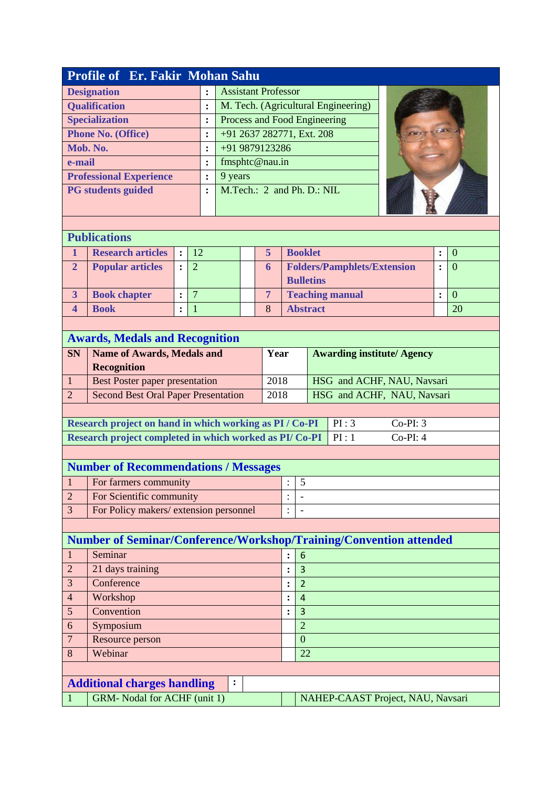|                          | <b>Profile of Er. Fakir Mohan Sahu</b>                                        |                |                |                            |                |  |                |                                       |  |                                    |            |                |                |
|--------------------------|-------------------------------------------------------------------------------|----------------|----------------|----------------------------|----------------|--|----------------|---------------------------------------|--|------------------------------------|------------|----------------|----------------|
|                          | <b>Designation</b>                                                            |                | $\ddot{\cdot}$ | <b>Assistant Professor</b> |                |  |                |                                       |  |                                    |            |                |                |
|                          | <b>Qualification</b><br>M. Tech. (Agricultural Engineering)<br>$\ddot{\cdot}$ |                |                |                            |                |  |                |                                       |  |                                    |            |                |                |
|                          | Process and Food Engineering<br><b>Specialization</b><br>:                    |                |                |                            |                |  |                |                                       |  |                                    |            |                |                |
|                          | +91 2637 282771, Ext. 208<br><b>Phone No. (Office)</b><br>:                   |                |                |                            |                |  |                |                                       |  |                                    |            |                |                |
|                          | Mob. No.                                                                      |                |                | $\ddot{\cdot}$             | +91 9879123286 |  |                |                                       |  |                                    |            |                |                |
| e-mail                   |                                                                               |                |                | $\ddot{\cdot}$             | fmsphtc@nau.in |  |                |                                       |  |                                    |            |                |                |
|                          | <b>Professional Experience</b>                                                |                |                | :                          | 9 years        |  |                |                                       |  |                                    |            |                |                |
|                          | <b>PG</b> students guided                                                     |                |                | $\ddot{\cdot}$             |                |  |                | M.Tech.: 2 and Ph. D.: NIL            |  |                                    |            |                |                |
|                          |                                                                               |                |                |                            |                |  |                |                                       |  |                                    |            |                |                |
|                          |                                                                               |                |                |                            |                |  |                |                                       |  |                                    |            |                |                |
|                          | <b>Publications</b>                                                           |                |                |                            |                |  |                |                                       |  |                                    |            |                |                |
| $\mathbf{1}$             | <b>Research articles</b>                                                      | $\ddot{\cdot}$ | 12             |                            |                |  | 5              | <b>Booklet</b>                        |  |                                    |            | :              | $\overline{0}$ |
| $\overline{2}$           | <b>Popular articles</b>                                                       | $\ddot{\cdot}$ | $\overline{2}$ |                            |                |  | 6              |                                       |  | <b>Folders/Pamphlets/Extension</b> |            | $\ddot{\cdot}$ | $\overline{0}$ |
|                          |                                                                               |                |                |                            |                |  |                | <b>Bulletins</b>                      |  |                                    |            |                |                |
| $\overline{\mathbf{3}}$  | <b>Book chapter</b>                                                           | $\ddot{\cdot}$ | $\overline{7}$ |                            |                |  | $\overline{7}$ |                                       |  | <b>Teaching manual</b>             |            | $\ddot{\cdot}$ | $\overline{0}$ |
| $\overline{\mathbf{4}}$  | <b>Book</b>                                                                   | $\ddot{\cdot}$ | $\overline{1}$ |                            |                |  | 8              | <b>Abstract</b>                       |  |                                    |            |                | 20             |
|                          |                                                                               |                |                |                            |                |  |                |                                       |  |                                    |            |                |                |
|                          | <b>Awards, Medals and Recognition</b>                                         |                |                |                            |                |  |                |                                       |  |                                    |            |                |                |
| <b>SN</b>                | <b>Name of Awards, Medals and</b>                                             |                |                |                            |                |  | Year           |                                       |  | <b>Awarding institute/ Agency</b>  |            |                |                |
|                          | <b>Recognition</b>                                                            |                |                |                            |                |  |                |                                       |  |                                    |            |                |                |
| $\mathbf{1}$             | Best Poster paper presentation                                                |                |                |                            |                |  |                | 2018                                  |  | HSG and ACHF, NAU, Navsari         |            |                |                |
| $\overline{2}$           | <b>Second Best Oral Paper Presentation</b>                                    |                |                |                            |                |  | 2018           |                                       |  | HSG and ACHF, NAU, Navsari         |            |                |                |
|                          |                                                                               |                |                |                            |                |  |                |                                       |  |                                    |            |                |                |
|                          | Research project on hand in which working as PI / Co-PI                       |                |                |                            |                |  |                |                                       |  | PI:3                               | $Co-PI: 3$ |                |                |
|                          | Research project completed in which worked as PI/Co-PI                        |                |                |                            |                |  |                |                                       |  | PI:1                               | $Co-PI: 4$ |                |                |
|                          |                                                                               |                |                |                            |                |  |                |                                       |  |                                    |            |                |                |
|                          | <b>Number of Recommendations / Messages</b>                                   |                |                |                            |                |  |                |                                       |  |                                    |            |                |                |
| $\overline{1}$           | For farmers community                                                         |                |                |                            |                |  |                | 5                                     |  |                                    |            |                |                |
| $\overline{2}$           | For Scientific community                                                      |                |                |                            |                |  |                |                                       |  |                                    |            |                |                |
| 3                        | For Policy makers/extension personnel                                         |                |                |                            |                |  |                | $\ddot{\cdot}$                        |  |                                    |            |                |                |
|                          |                                                                               |                |                |                            |                |  |                |                                       |  |                                    |            |                |                |
|                          | Number of Seminar/Conference/Workshop/Training/Convention attended            |                |                |                            |                |  |                |                                       |  |                                    |            |                |                |
| $\mathbf{1}$             | Seminar                                                                       |                |                |                            |                |  |                | 6<br>:                                |  |                                    |            |                |                |
| $\overline{2}$           | 21 days training                                                              |                |                |                            |                |  |                | 3<br>$\ddot{\cdot}$                   |  |                                    |            |                |                |
| 3                        | Conference                                                                    |                |                |                            |                |  |                | $\overline{2}$<br>$\ddot{\cdot}$      |  |                                    |            |                |                |
| $\overline{\mathcal{A}}$ | Workshop                                                                      |                |                |                            |                |  |                | $\overline{4}$<br>$\ddot{\cdot}$      |  |                                    |            |                |                |
| 5<br>Convention          |                                                                               |                |                |                            |                |  |                | 3<br>$\ddot{\cdot}$<br>$\overline{2}$ |  |                                    |            |                |                |
| Symposium<br>6           |                                                                               |                |                |                            |                |  |                |                                       |  |                                    |            |                |                |
| 8                        | $\overline{0}$<br>$\overline{7}$<br>Resource person<br>Webinar<br>22          |                |                |                            |                |  |                |                                       |  |                                    |            |                |                |
|                          |                                                                               |                |                |                            |                |  |                |                                       |  |                                    |            |                |                |
|                          | <b>Additional charges handling</b>                                            |                |                |                            |                |  |                |                                       |  |                                    |            |                |                |
|                          |                                                                               |                |                |                            | :              |  |                |                                       |  |                                    |            |                |                |
| $\mathbf{1}$             | <b>GRM-</b> Nodal for ACHF (unit 1)                                           |                |                |                            |                |  |                |                                       |  | NAHEP-CAAST Project, NAU, Navsari  |            |                |                |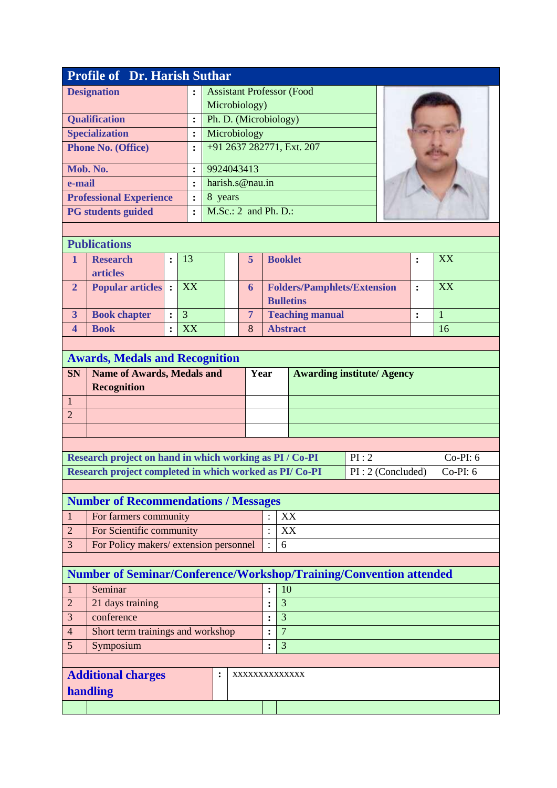| <b>Profile of Dr. Harish Suthar</b> |                |                                  |  |  |  |  |  |  |  |  |
|-------------------------------------|----------------|----------------------------------|--|--|--|--|--|--|--|--|
| <b>Designation</b>                  | ٠<br>٠         | <b>Assistant Professor (Food</b> |  |  |  |  |  |  |  |  |
|                                     |                | Microbiology)                    |  |  |  |  |  |  |  |  |
| <b>Qualification</b>                | ٠              | Ph. D. (Microbiology)            |  |  |  |  |  |  |  |  |
| <b>Specialization</b>               | :              | Microbiology                     |  |  |  |  |  |  |  |  |
| <b>Phone No. (Office)</b>           | $\ddot{\cdot}$ | +91 2637 282771, Ext. 207        |  |  |  |  |  |  |  |  |
| Mob. No.                            | ٠              | 9924043413                       |  |  |  |  |  |  |  |  |
| e-mail                              | ٠              | harish.s@nau.in                  |  |  |  |  |  |  |  |  |
| <b>Professional Experience</b>      | $\ddot{\cdot}$ | 8<br>years                       |  |  |  |  |  |  |  |  |
| <b>PG</b> students guided           | ٠              | $M.Sc.: 2$ and Ph. D.:           |  |  |  |  |  |  |  |  |

### **Publications**

| <b>Research</b>          | 13 |   | <b>Booklet</b>                     | XX        |
|--------------------------|----|---|------------------------------------|-----------|
| articles                 |    |   |                                    |           |
| <b>Popular articles:</b> | XX |   | <b>Folders/Pamphlets/Extension</b> | <b>XX</b> |
|                          |    |   | <b>Bulletins</b>                   |           |
| <b>Book chapter</b>      |    |   | <b>Teaching manual</b>             |           |
| <b>Book</b>              | XX | 8 | <b>Abstract</b>                    | 16        |

|           | <b>Awards, Medals and Recognition</b>                                          |  |  |  |  |  |  |  |  |  |  |
|-----------|--------------------------------------------------------------------------------|--|--|--|--|--|--|--|--|--|--|
| <b>SN</b> | <b>Name of Awards, Medals and</b><br><b>Awarding institute/ Agency</b><br>Year |  |  |  |  |  |  |  |  |  |  |
|           | <b>Recognition</b>                                                             |  |  |  |  |  |  |  |  |  |  |
|           |                                                                                |  |  |  |  |  |  |  |  |  |  |
|           |                                                                                |  |  |  |  |  |  |  |  |  |  |
|           |                                                                                |  |  |  |  |  |  |  |  |  |  |
|           |                                                                                |  |  |  |  |  |  |  |  |  |  |

| Research project on hand in which working as PI / Co-PI       | $\mathsf{P}$ PI : 2 | $Co-PI:6$ |
|---------------------------------------------------------------|---------------------|-----------|
| <b>Research project completed in which worked as PI/Co-PI</b> | $PI:2$ (Concluded)  | Co-PI: 6  |

| <b>Number of Recommendations / Messages</b> |         |      |  |  |  |  |  |  |
|---------------------------------------------|---------|------|--|--|--|--|--|--|
| For farmers community                       |         | I XX |  |  |  |  |  |  |
| For Scientific community                    |         | XХ   |  |  |  |  |  |  |
| For Policy makers/ extension personnel      | $\cdot$ | h    |  |  |  |  |  |  |

## **Number of Seminar/Conference/Workshop/Training/Convention attended**

|                             | Seminar                           |  |  |                | 10 |  |  |  |
|-----------------------------|-----------------------------------|--|--|----------------|----|--|--|--|
| $\mathcal{D}_{\mathcal{L}}$ | 21 days training                  |  |  |                | 3  |  |  |  |
| 3                           | conference                        |  |  |                | 3  |  |  |  |
| $\overline{4}$              | Short term trainings and workshop |  |  |                |    |  |  |  |
|                             | Symposium                         |  |  |                | 3  |  |  |  |
|                             |                                   |  |  |                |    |  |  |  |
|                             | <b>Additional charges</b>         |  |  | XXXXXXXXXXXXXX |    |  |  |  |
| handling                    |                                   |  |  |                |    |  |  |  |
|                             |                                   |  |  |                |    |  |  |  |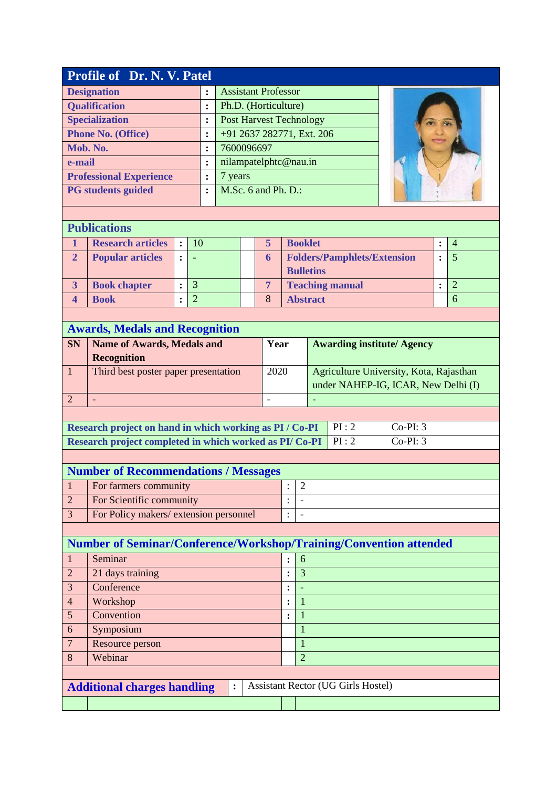|                                   | Profile of Dr. N. V. Patel                                                      |                |                |                |                       |                |                                   |                                     |                                         |            |                |                |
|-----------------------------------|---------------------------------------------------------------------------------|----------------|----------------|----------------|-----------------------|----------------|-----------------------------------|-------------------------------------|-----------------------------------------|------------|----------------|----------------|
|                                   | <b>Designation</b><br><b>Assistant Professor</b>                                |                |                |                |                       |                |                                   |                                     |                                         |            |                |                |
|                                   | <b>Qualification</b>                                                            |                |                | $\ddot{\cdot}$ | Ph.D. (Horticulture)  |                |                                   |                                     |                                         |            |                |                |
|                                   | <b>Specialization</b>                                                           |                |                | :              |                       |                |                                   | <b>Post Harvest Technology</b>      |                                         |            |                |                |
|                                   | <b>Phone No. (Office)</b>                                                       |                |                | $\ddot{\cdot}$ |                       |                |                                   | +91 2637 282771, Ext. 206           |                                         |            |                |                |
|                                   | Mob. No.                                                                        |                |                | :              | 7600096697            |                |                                   |                                     |                                         |            |                |                |
| e-mail                            |                                                                                 |                |                | :              | nilampatelphtc@nau.in |                |                                   |                                     |                                         |            |                |                |
|                                   | <b>Professional Experience</b>                                                  |                |                | :              | 7 years               |                |                                   |                                     |                                         |            |                |                |
|                                   | <b>PG</b> students guided                                                       |                |                | $\ddot{\cdot}$ | M.Sc. 6 and Ph. D.:   |                |                                   |                                     |                                         |            |                |                |
|                                   |                                                                                 |                |                |                |                       |                |                                   |                                     |                                         |            |                |                |
| <b>Publications</b>               |                                                                                 |                |                |                |                       |                |                                   |                                     |                                         |            |                |                |
| 1                                 | <b>Research articles</b>                                                        | $\ddot{\cdot}$ | 10             |                |                       | 5              |                                   | <b>Booklet</b>                      |                                         |            | $\ddot{\cdot}$ | $\overline{4}$ |
| $\overline{2}$                    | <b>Popular articles</b>                                                         | $\ddot{\cdot}$ |                |                |                       | 6              |                                   |                                     | <b>Folders/Pamphlets/Extension</b>      |            | $\ddot{\cdot}$ | $\overline{5}$ |
|                                   |                                                                                 |                |                |                |                       |                |                                   | <b>Bulletins</b>                    |                                         |            |                |                |
| $\overline{3}$                    | <b>Book chapter</b>                                                             | $\ddot{\cdot}$ | $\overline{3}$ |                |                       | $\overline{7}$ |                                   |                                     | <b>Teaching manual</b>                  |            | $\ddot{\cdot}$ | $\overline{2}$ |
| $\overline{\mathbf{4}}$           | <b>Book</b>                                                                     | $\ddot{\cdot}$ | $\overline{2}$ |                |                       | 8              |                                   | <b>Abstract</b>                     |                                         |            |                | 6              |
|                                   |                                                                                 |                |                |                |                       |                |                                   |                                     |                                         |            |                |                |
|                                   | <b>Awards, Medals and Recognition</b>                                           |                |                |                |                       |                |                                   |                                     |                                         |            |                |                |
| <b>SN</b>                         | <b>Name of Awards, Medals and</b>                                               |                |                |                |                       | Year           | <b>Awarding institute/ Agency</b> |                                     |                                         |            |                |                |
|                                   | <b>Recognition</b>                                                              |                |                |                |                       |                |                                   |                                     |                                         |            |                |                |
| 1                                 | Third best poster paper presentation                                            |                |                |                |                       | 2020           |                                   |                                     | Agriculture University, Kota, Rajasthan |            |                |                |
|                                   |                                                                                 |                |                |                |                       |                |                                   | under NAHEP-IG, ICAR, New Delhi (I) |                                         |            |                |                |
| $\overline{2}$                    |                                                                                 |                |                |                |                       |                |                                   |                                     |                                         |            |                |                |
|                                   |                                                                                 |                |                |                |                       |                |                                   |                                     |                                         |            |                |                |
|                                   | Research project on hand in which working as PI / Co-PI                         |                |                |                |                       |                |                                   |                                     | PI:2                                    | $Co-PI: 3$ |                |                |
|                                   | Research project completed in which worked as PI/Co-PI                          |                |                |                |                       |                |                                   |                                     | PI:2                                    | $Co-PI: 3$ |                |                |
|                                   |                                                                                 |                |                |                |                       |                |                                   |                                     |                                         |            |                |                |
|                                   | <b>Number of Recommendations / Messages</b>                                     |                |                |                |                       |                |                                   |                                     |                                         |            |                |                |
| $\,1\,$                           | For farmers community                                                           |                |                |                |                       |                | $\ddot{\phantom{0}}$              | $\overline{2}$                      |                                         |            |                |                |
| $\overline{2}$                    | For Scientific community                                                        |                |                |                |                       |                | $\ddot{\cdot}$                    |                                     |                                         |            |                |                |
| 3                                 | For Policy makers/ extension personnel                                          |                |                |                |                       |                | $\ddot{\cdot}$                    |                                     |                                         |            |                |                |
|                                   |                                                                                 |                |                |                |                       |                |                                   |                                     |                                         |            |                |                |
|                                   | Number of Seminar/Conference/Workshop/Training/Convention attended              |                |                |                |                       |                |                                   |                                     |                                         |            |                |                |
| $\mathbf{1}$                      | Seminar                                                                         |                |                |                |                       |                | $\ddot{\cdot}$                    | 6                                   |                                         |            |                |                |
| $\overline{2}$                    | 21 days training                                                                |                |                |                |                       |                | :                                 | 3                                   |                                         |            |                |                |
| 3                                 | Conference                                                                      |                |                |                |                       |                |                                   |                                     |                                         |            |                |                |
| Workshop<br>$\overline{4}$        |                                                                                 |                |                |                |                       |                | $\ddot{\cdot}$                    | 1                                   |                                         |            |                |                |
| 5<br>Convention                   |                                                                                 |                |                |                |                       |                | $\ddot{\cdot}$                    | $\mathbf{1}$                        |                                         |            |                |                |
| Symposium<br>6                    |                                                                                 |                |                |                |                       |                |                                   | 1                                   |                                         |            |                |                |
| $\overline{7}$<br>Resource person |                                                                                 |                |                |                |                       |                | $\mathbf{1}$                      |                                     |                                         |            |                |                |
| 8                                 | Webinar<br>$\overline{2}$                                                       |                |                |                |                       |                |                                   |                                     |                                         |            |                |                |
|                                   |                                                                                 |                |                |                |                       |                |                                   |                                     |                                         |            |                |                |
|                                   |                                                                                 |                |                |                | :                     |                |                                   |                                     |                                         |            |                |                |
|                                   |                                                                                 |                |                |                |                       |                |                                   |                                     |                                         |            |                |                |
|                                   | <b>Assistant Rector (UG Girls Hostel)</b><br><b>Additional charges handling</b> |                |                |                |                       |                |                                   |                                     |                                         |            |                |                |